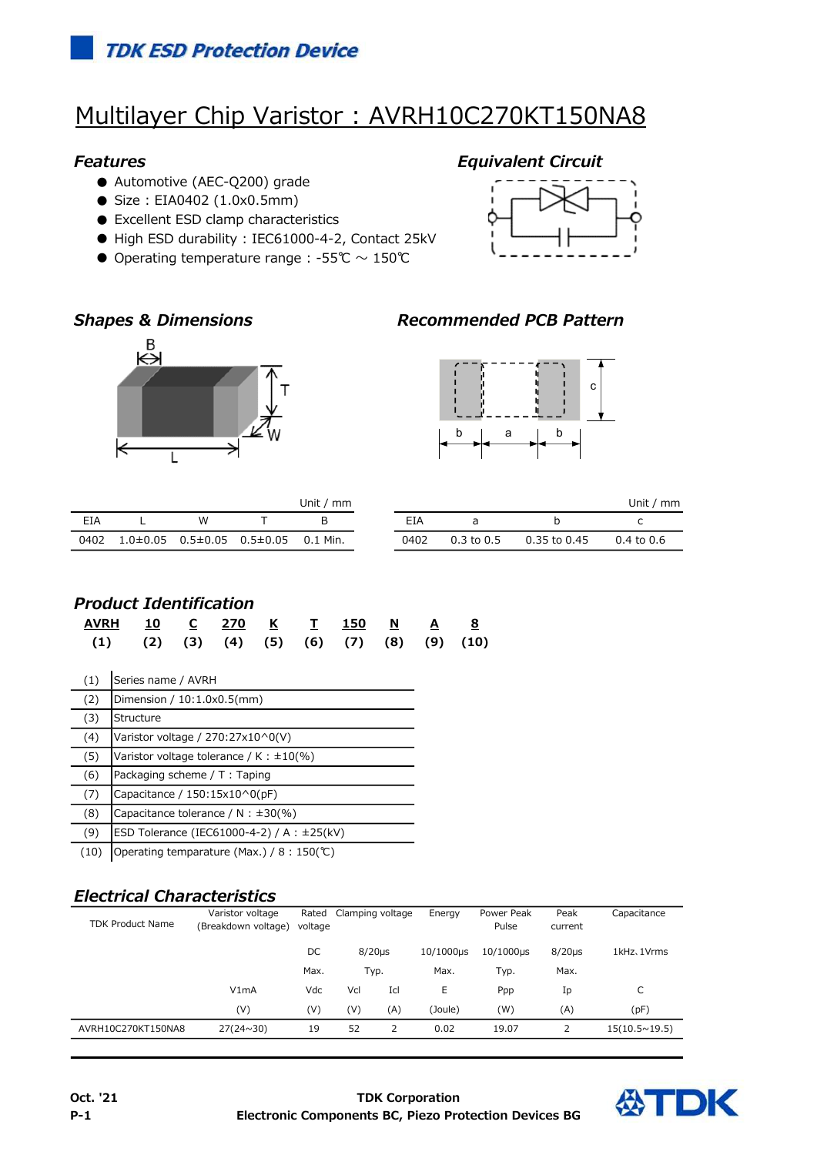## **TDK ESD Protection Device**

# Multilayer Chip Varistor : AVRH10C270KT150NA8

- Automotive (AEC-Q200) grade
- Size: EIA0402 (1.0x0.5mm)
- Excellent ESD clamp characteristics
- High ESD durability : IEC61000-4-2, Contact 25kV
- Operating temperature range : -55℃  $\sim$  150℃







## Shapes & Dimensions **Recommended PCB Pattern**



| Unit $\sqrt{m}$ |  |                                        |  |          |  | Jnit / |                |              |                |
|-----------------|--|----------------------------------------|--|----------|--|--------|----------------|--------------|----------------|
| EIA             |  | W                                      |  |          |  | EIA    |                |              |                |
| 0402            |  | $1.0\pm0.05$ $0.5\pm0.05$ $0.5\pm0.05$ |  | 0.1 Min. |  | 0402   | $0.3$ to $0.5$ | 0.35 to 0.45 | $0.4$ to $0.6$ |

### Product Identification

| <u>AVRH 10 C 270 K T 150 N A 8</u>                           |  |  |  |  |  |
|--------------------------------------------------------------|--|--|--|--|--|
| $(1)$ $(2)$ $(3)$ $(4)$ $(5)$ $(6)$ $(7)$ $(8)$ $(9)$ $(10)$ |  |  |  |  |  |

| (1)  | Series name / AVRH                              |
|------|-------------------------------------------------|
| (2)  | Dimension / 10:1.0x0.5(mm)                      |
| (3)  | Structure                                       |
| (4)  | Varistor voltage / 270:27x10^0(V)               |
| (5)  | Varistor voltage tolerance / K: $\pm 10\%$ )    |
| (6)  | Packaging scheme / T: Taping                    |
| (7)  | Capacitance / 150:15x10^0(pF)                   |
| (8)  | Capacitance tolerance / N : $\pm 30$ (%)        |
| (9)  | ESD Tolerance (IEC61000-4-2) / A : $\pm$ 25(kV) |
| (10) | Operating temparature (Max.) / 8 : 150 (℃)      |

## Electrical Characteristics

|                         | Varistor voltage    |                 | Rated<br>Clamping voltage |           | Energy    | Power Peak   | Peak        | Capacitance            |
|-------------------------|---------------------|-----------------|---------------------------|-----------|-----------|--------------|-------------|------------------------|
| <b>TDK Product Name</b> | (Breakdown voltage) | voltage         |                           |           |           | Pulse        | current     |                        |
|                         |                     | DC<br>$8/20$ µs |                           | 10/1000us | 10/1000µs | $8/20 \mu s$ | 1kHz, 1Vrms |                        |
|                         |                     | Max.            | Typ.                      |           | Max.      | Typ.         | Max.        |                        |
|                         | V1mA                | Vdc             | Vcl                       | Icl       | E         | Ppp          | Ip          | C                      |
|                         | (V)                 | (V)             | (V)                       | (A)       | (Joule)   | (W)          | (A)         | (pF)                   |
| AVRH10C270KT150NA8      | $27(24 \times 30)$  | 19              | 52                        | 2         | 0.02      | 19.07        |             | $15(10.5 \times 19.5)$ |

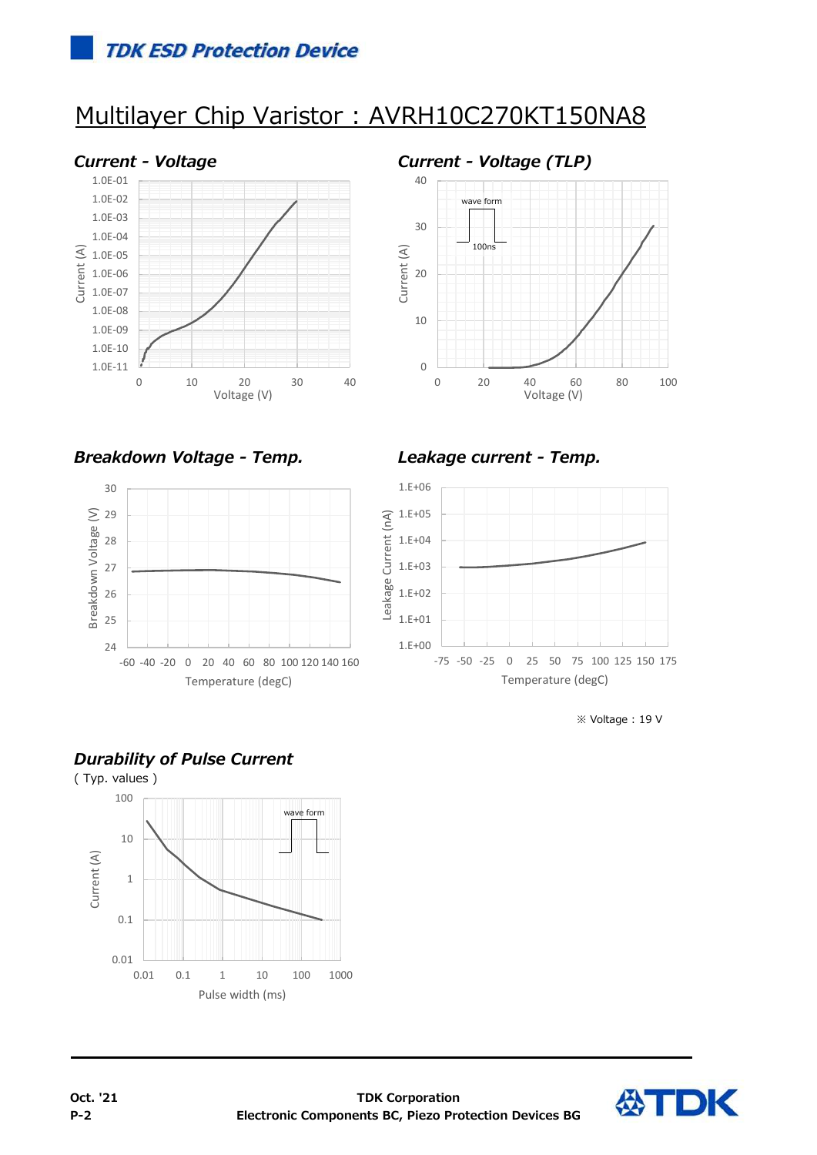# Multilayer Chip Varistor : AVRH10C270KT150NA8





Breakdown Voltage - Temp. Leakage current - Temp.





※ Voltage : 19 V



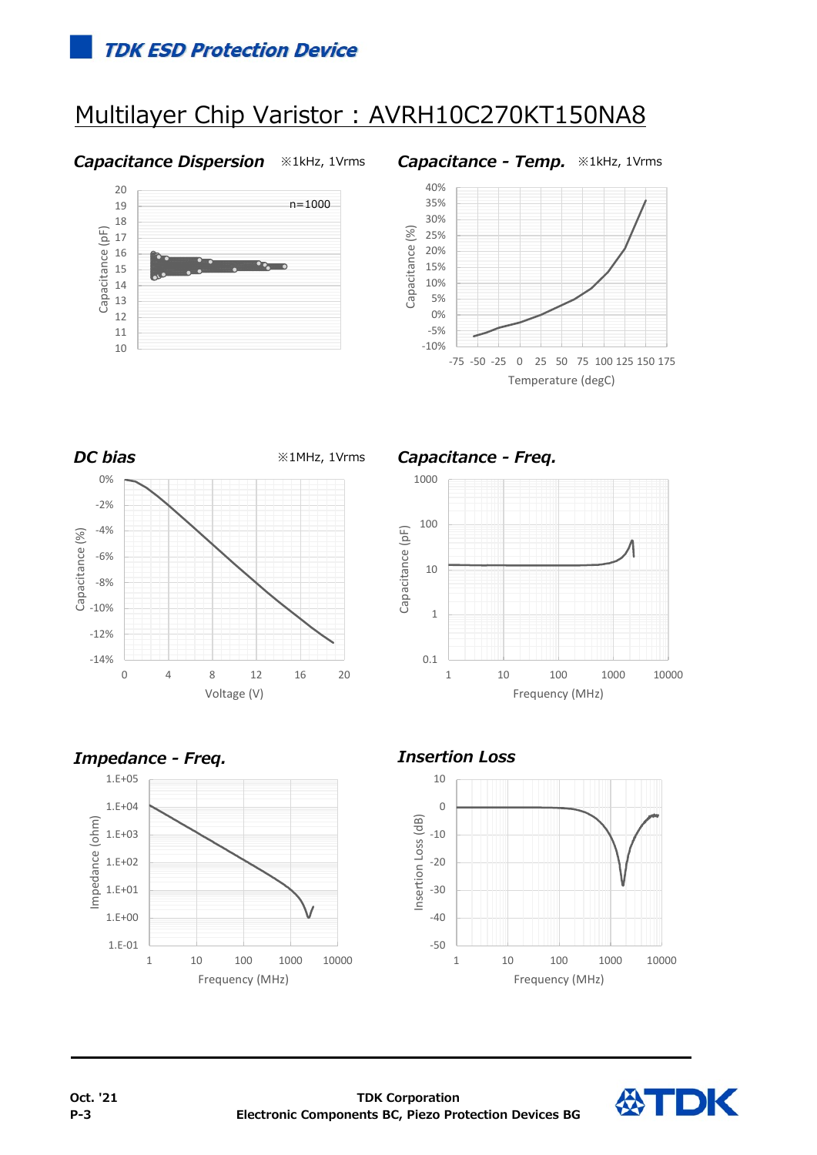## **TDK ESD Protection Device**

# Multilayer Chip Varistor : AVRH10C270KT150NA8

### Capacitance Dispersion **\*1kHz, 1Vrms** Capacitance - Temp. \*1kHz, 1Vrms